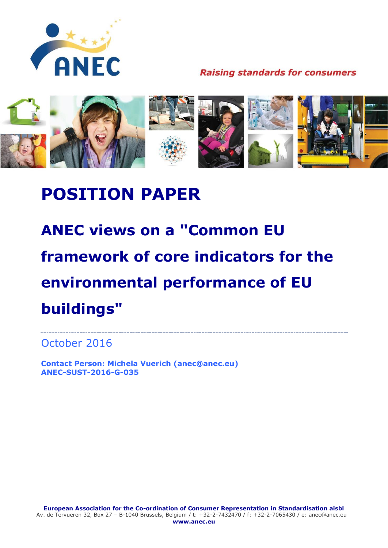

**Raising standards for consumers** 



# **POSITION PAPER**

**ANEC views on a "Common EU framework of core indicators for the environmental performance of EU buildings"**

October 2016

**Contact Person: Michela Vuerich (anec@anec.eu) ANEC-SUST-2016-G-035**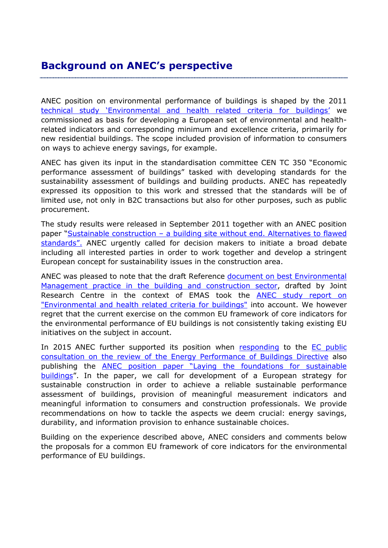## **Background on ANEC's perspective**

ANEC position on environmental performance of buildings is shaped by the 2011 technical study 'E[nvironmental and health related criteria for buildings](http://www.anec.eu/attachments/ANEC-R&T-2011-ENV-001final.pdf)' we commissioned as basis for developing a European set of environmental and healthrelated indicators and corresponding minimum and excellence criteria, primarily for new residential buildings. The scope included provision of information to consumers on ways to achieve energy savings, for example.

ANEC has given its input in the standardisation committee CEN TC 350 "Economic performance assessment of buildings" tasked with developing standards for the sustainability assessment of buildings and building products. ANEC has repeatedly expressed its opposition to this work and stressed that the standards will be of limited use, not only in B2C transactions but also for other purposes, such as public procurement.

The study results were released in September 2011 together with an ANEC position paper "Sustainable construction - a building site without end. Alternatives to flawed [standards".](http://www.anec.eu/attachments/ANEC-ENV-2011-G-037.pdf) ANEC urgently called for decision makers to initiate a broad debate including all interested parties in order to work together and develop a stringent European concept for sustainability issues in the construction area.

ANEC was pleased to note that the draft Reference [document on best Environmental](http://susproc.jrc.ec.europa.eu/activities/emas/construction.html)  [Management practice in the building and construction sector,](http://susproc.jrc.ec.europa.eu/activities/emas/construction.html) drafted by Joint Research Centre in the context of EMAS took the **ANEC study report on** ["Environmental and health related criteria for buildings"](http://www.anec.eu/attachments/ANEC-R&T-2011-ENV-001final.pdf) into account. We however regret that the current exercise on the common EU framework of core indicators for the environmental performance of EU buildings is not consistently taking existing EU initiatives on the subject in account.

In 2015 ANEC further supported its position when [responding](http://www.anec.eu/attachments/ANEC-SUST-2015-G-026.pdf) to the EC public [consultation on the review of the Energy Performance of Buildings Directive](https://ec.europa.eu/energy/en/consultations/public-consultation-evaluation-energy-performance-buildings-directive) also publishing the **ANEC** position paper "Laying the foundations for sustainable [buildings](http://www.anec.eu/attachments/ANEC-SUST-2015-G-033.pdf)". In the paper, we call for development of a European strategy for sustainable construction in order to achieve a reliable sustainable performance assessment of buildings, provision of meaningful measurement indicators and meaningful information to consumers and construction professionals. We provide recommendations on how to tackle the aspects we deem crucial: energy savings, durability, and information provision to enhance sustainable choices.

Building on the experience described above, ANEC considers and comments below the proposals for a common EU framework of core indicators for the environmental performance of EU buildings.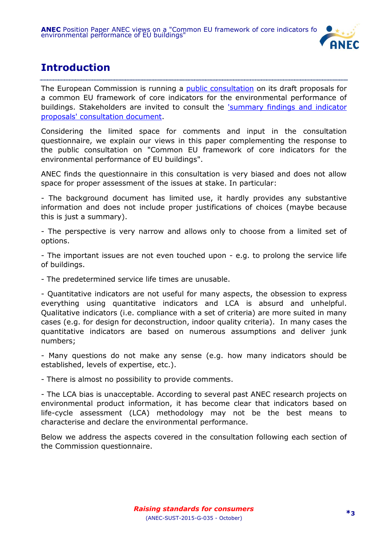

# **Introduction**

The European Commission is running a **public consultation** on its draft proposals for a common EU framework of core indicators for the environmental performance of buildings. Stakeholders are invited to consult the ['summary findings and indicator](http://susproc.jrc.ec.europa.eu/Efficient_Buildings/documents.html)  [proposals' consultation document.](http://susproc.jrc.ec.europa.eu/Efficient_Buildings/documents.html)

Considering the limited space for comments and input in the consultation questionnaire, we explain our views in this paper complementing the response to the public consultation on "Common EU framework of core indicators for the environmental performance of EU buildings".

ANEC finds the questionnaire in this consultation is very biased and does not allow space for proper assessment of the issues at stake. In particular:

- The background document has limited use, it hardly provides any substantive information and does not include proper justifications of choices (maybe because this is just a summary).

- The perspective is very narrow and allows only to choose from a limited set of options.

- The important issues are not even touched upon - e.g. to prolong the service life of buildings.

- The predetermined service life times are unusable.

- Quantitative indicators are not useful for many aspects, the obsession to express everything using quantitative indicators and LCA is absurd and unhelpful. Qualitative indicators (i.e. compliance with a set of criteria) are more suited in many cases (e.g. for design for deconstruction, indoor quality criteria). In many cases the quantitative indicators are based on numerous assumptions and deliver junk numbers;

- Many questions do not make any sense (e.g. how many indicators should be established, levels of expertise, etc.).

- There is almost no possibility to provide comments.

- The LCA bias is unacceptable. According to several past ANEC research projects on environmental product information, it has become clear that indicators based on life-cycle assessment (LCA) methodology may not be the best means to characterise and declare the environmental performance.

Below we address the aspects covered in the consultation following each section of the Commission questionnaire.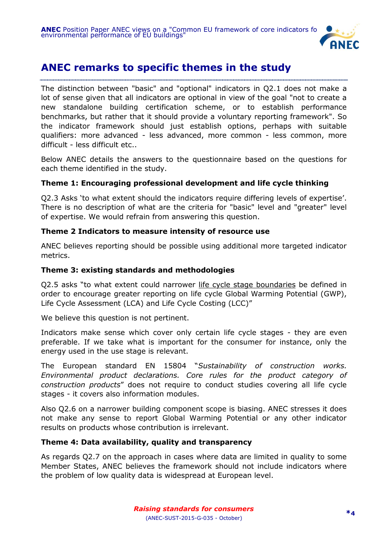

### **ANEC remarks to specific themes in the study**

The distinction between "basic" and "optional" indicators in Q2.1 does not make a lot of sense given that all indicators are optional in view of the goal "not to create a new standalone building certification scheme, or to establish performance benchmarks, but rather that it should provide a voluntary reporting framework". So the indicator framework should just establish options, perhaps with suitable qualifiers: more advanced - less advanced, more common - less common, more difficult - less difficult etc..

Below ANEC details the answers to the questionnaire based on the questions for each theme identified in the study.

### **Theme 1: Encouraging professional development and life cycle thinking**

Q2.3 Asks 'to what extent should the indicators require differing levels of expertise'. There is no description of what are the criteria for "basic" level and "greater" level of expertise. We would refrain from answering this question.

### **Theme 2 Indicators to measure intensity of resource use**

ANEC believes reporting should be possible using additional more targeted indicator metrics.

### **Theme 3: existing standards and methodologies**

Q2.5 asks "to what extent could narrower life cycle stage boundaries be defined in order to encourage greater reporting on life cycle Global Warming Potential (GWP), Life Cycle Assessment (LCA) and Life Cycle Costing (LCC)"

We believe this question is not pertinent.

Indicators make sense which cover only certain life cycle stages - they are even preferable. If we take what is important for the consumer for instance, only the energy used in the use stage is relevant.

The European standard EN 15804 "*Sustainability of construction works. Environmental product declarations. Core rules for the product category of construction products*" does not require to conduct studies covering all life cycle stages - it covers also information modules.

Also Q2.6 on a narrower building component scope is biasing. ANEC stresses it does not make any sense to report Global Warming Potential or any other indicator results on products whose contribution is irrelevant.

#### **Theme 4: Data availability, quality and transparency**

As regards Q2.7 on the approach in cases where data are limited in quality to some Member States, ANEC believes the framework should not include indicators where the problem of low quality data is widespread at European level.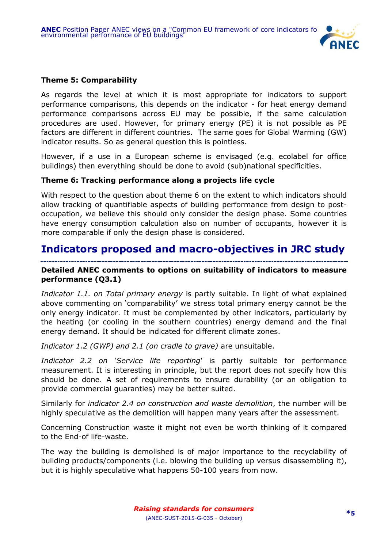

### **Theme 5: Comparability**

As regards the level at which it is most appropriate for indicators to support performance comparisons, this depends on the indicator - for heat energy demand performance comparisons across EU may be possible, if the same calculation procedures are used. However, for primary energy (PE) it is not possible as PE factors are different in different countries. The same goes for Global Warming (GW) indicator results. So as general question this is pointless.

However, if a use in a European scheme is envisaged (e.g. ecolabel for office buildings) then everything should be done to avoid (sub)national specificities.

### **Theme 6: Tracking performance along a projects life cycle**

With respect to the question about theme 6 on the extent to which indicators should allow tracking of quantifiable aspects of building performance from design to postoccupation, we believe this should only consider the design phase. Some countries have energy consumption calculation also on number of occupants, however it is more comparable if only the design phase is considered.

### **Indicators proposed and macro-objectives in JRC study**

### **Detailed ANEC comments to options on suitability of indicators to measure performance (Q3.1)**

*Indicator 1.1. on Total primary energy* is partly suitable. In light of what explained above commenting on 'comparability' we stress total primary energy cannot be the only energy indicator. It must be complemented by other indicators, particularly by the heating (or cooling in the southern countries) energy demand and the final energy demand. It should be indicated for different climate zones.

*Indicator 1.2 (GWP) and 2.1 (on cradle to grave)* are unsuitable.

*Indicator 2.2 on 'Service life reporting*' is partly suitable for performance measurement. It is interesting in principle, but the report does not specify how this should be done. A set of requirements to ensure durability (or an obligation to provide commercial guaranties) may be better suited.

Similarly for *indicator 2.4 on construction and waste demolition*, the number will be highly speculative as the demolition will happen many years after the assessment.

Concerning Construction waste it might not even be worth thinking of it compared to the End-of life-waste.

The way the building is demolished is of major importance to the recyclability of building products/components (i.e. blowing the building up versus disassembling it), but it is highly speculative what happens 50-100 years from now.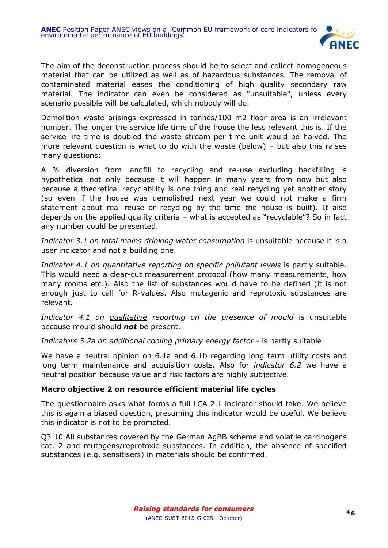

The aim of the deconstruction process should be to select and collect homogeneous material that can be utilized as well as of hazardous substances. The removal of contaminated material eases the conditioning of high quality secondary raw material. The indicator can even be considered as "unsuitable", unless every scenario possible will be calculated, which nobody will do.

Demolition waste arisings expressed in tonnes/100 m2 floor area is an irrelevant number. The longer the service life time of the house the less relevant this is. If the service life time is doubled the waste stream per time unit would be halved. The more relevant question is what to do with the waste (below) – but also this raises many questions:

A % diversion from landfill to recycling and re-use excluding backfilling is hypothetical not only because it will happen in many years from now but also because a theoretical recyclability is one thing and real recycling yet another story (so even if the house was demolished next year we could not make a firm statement about real reuse or recycling by the time the house is built). It also depends on the applied quality criteria – what is accepted as "recyclable"? So in fact any number could be presented.

*Indicator 3.1 on total mains drinking water consumption* is unsuitable because it is a user indicator and not a building one.

*Indicator 4.1 on quantitative reporting on specific pollutant levels* is partly suitable. This would need a clear-cut measurement protocol (how many measurements, how many rooms etc.). Also the list of substances would have to be defined (it is not enough just to call for R-values. Also mutagenic and reprotoxic substances are relevant.

*Indicator 4.1 on qualitative reporting on the presence of mould* is unsuitable because mould should *not* be present.

*Indicators 5.2a on additional cooling primary energy factor* - is partly suitable

We have a neutral opinion on 6.1a and 6.1b regarding long term utility costs and long term maintenance and acquisition costs. Also for *indicator 6.2* we have a neutral position because value and risk factors are highly subjective.

#### **Macro objective 2 on resource efficient material life cycles**

The questionnaire asks what forms a full LCA 2.1 indicator should take. We believe this is again a biased question, presuming this indicator would be useful. We believe this indicator is not to be promoted.

Q3 10 All substances covered by the German AgBB scheme and volatile carcinogens cat. 2 and mutagens/reprotoxic substances. In addition, the absence of specified substances (e.g. sensitisers) in materials should be confirmed.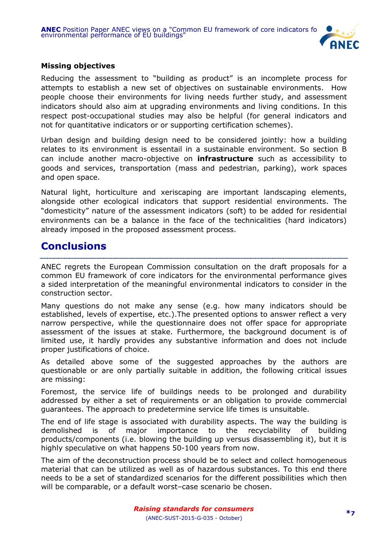

### **Missing objectives**

Reducing the assessment to "building as product" is an incomplete process for attempts to establish a new set of objectives on sustainable environments. How people choose their environments for living needs further study, and assessment indicators should also aim at upgrading environments and living conditions. In this respect post-occupational studies may also be helpful (for general indicators and not for quantitative indicators or or supporting certification schemes).

Urban design and building design need to be considered jointly: how a building relates to its environment is essentail in a sustainable environment. So section B can include another macro-objective on **infrastructure** such as accessibility to goods and services, transportation (mass and pedestrian, parking), work spaces and open space.

Natural light, horticulture and xeriscaping are important landscaping elements, alongside other ecological indicators that support residential environments. The "domesticity" nature of the assessment indicators (soft) to be added for residential environments can be a balance in the face of the technicalities (hard indicators) already imposed in the proposed assessment process.

### **Conclusions**

ANEC regrets the European Commission consultation on the draft proposals for a common EU framework of core indicators for the environmental performance gives a sided interpretation of the meaningful environmental indicators to consider in the construction sector.

Many questions do not make any sense (e.g. how many indicators should be established, levels of expertise, etc.).The presented options to answer reflect a very narrow perspective, while the questionnaire does not offer space for appropriate assessment of the issues at stake. Furthermore, the background document is of limited use, it hardly provides any substantive information and does not include proper justifications of choice.

As detailed above some of the suggested approaches by the authors are questionable or are only partially suitable in addition, the following critical issues are missing:

Foremost, the service life of buildings needs to be prolonged and durability addressed by either a set of requirements or an obligation to provide commercial guarantees. The approach to predetermine service life times is unsuitable.

The end of life stage is associated with durability aspects. The way the building is demolished is of major importance to the recyclability of building products/components (i.e. blowing the building up versus disassembling it), but it is highly speculative on what happens 50-100 years from now.

The aim of the deconstruction process should be to select and collect homogeneous material that can be utilized as well as of hazardous substances. To this end there needs to be a set of standardized scenarios for the different possibilities which then will be comparable, or a default worst–case scenario be chosen.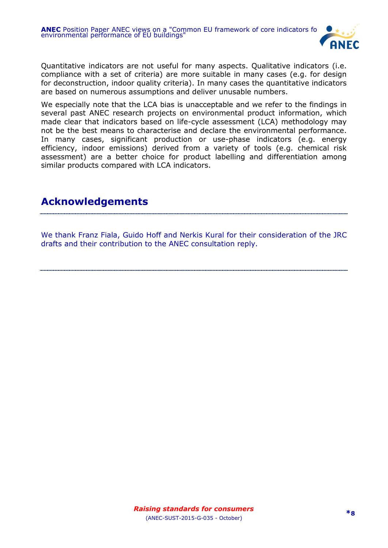

Quantitative indicators are not useful for many aspects. Qualitative indicators (i.e. compliance with a set of criteria) are more suitable in many cases (e.g. for design for deconstruction, indoor quality criteria). In many cases the quantitative indicators are based on numerous assumptions and deliver unusable numbers.

We especially note that the LCA bias is unacceptable and we refer to the findings in several past ANEC research projects on environmental product information, which made clear that indicators based on life-cycle assessment (LCA) methodology may not be the best means to characterise and declare the environmental performance. In many cases, significant production or use-phase indicators (e.g. energy efficiency, indoor emissions) derived from a variety of tools (e.g. chemical risk assessment) are a better choice for product labelling and differentiation among similar products compared with LCA indicators.

### **Acknowledgements**

We thank Franz Fiala, Guido Hoff and Nerkis Kural for their consideration of the JRC drafts and their contribution to the ANEC consultation reply.